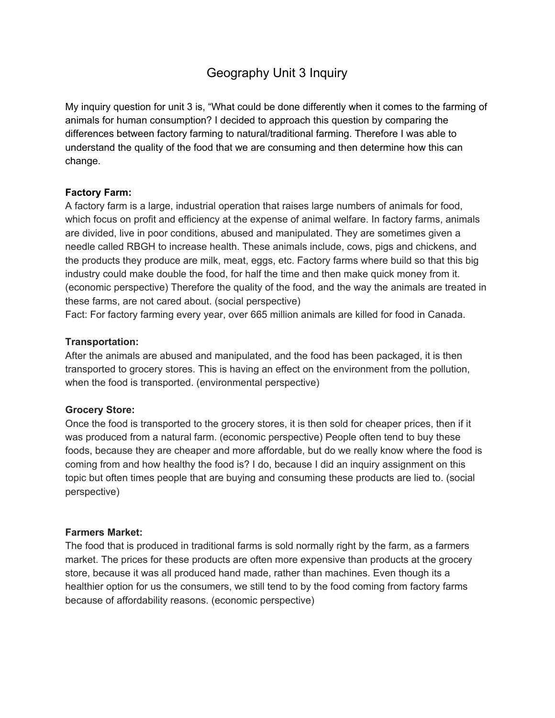# Geography Unit 3 Inquiry

My inquiry question for unit 3 is, "What could be done differently when it comes to the farming of animals for human consumption? I decided to approach this question by comparing the differences between factory farming to natural/traditional farming. Therefore I was able to understand the quality of the food that we are consuming and then determine how this can change.

## **Factory Farm:**

A factory farm is a large, industrial operation that raises large numbers of animals for food, which focus on profit and efficiency at the expense of animal welfare. In factory farms, animals are divided, live in poor conditions, abused and manipulated. They are sometimes given a needle called RBGH to increase health. These animals include, cows, pigs and chickens, and the products they produce are milk, meat, eggs, etc. Factory farms where build so that this big industry could make double the food, for half the time and then make quick money from it. (economic perspective) Therefore the quality of the food, and the way the animals are treated in these farms, are not cared about. (social perspective)

Fact: For factory farming every year, over 665 million animals are killed for food in Canada.

## **Transportation:**

After the animals are abused and manipulated, and the food has been packaged, it is then transported to grocery stores. This is having an effect on the environment from the pollution, when the food is transported. (environmental perspective)

## **Grocery Store:**

Once the food is transported to the grocery stores, it is then sold for cheaper prices, then if it was produced from a natural farm. (economic perspective) People often tend to buy these foods, because they are cheaper and more affordable, but do we really know where the food is coming from and how healthy the food is? I do, because I did an inquiry assignment on this topic but often times people that are buying and consuming these products are lied to. (social perspective)

## **Farmers Market:**

The food that is produced in traditional farms is sold normally right by the farm, as a farmers market. The prices for these products are often more expensive than products at the grocery store, because it was all produced hand made, rather than machines. Even though its a healthier option for us the consumers, we still tend to by the food coming from factory farms because of affordability reasons. (economic perspective)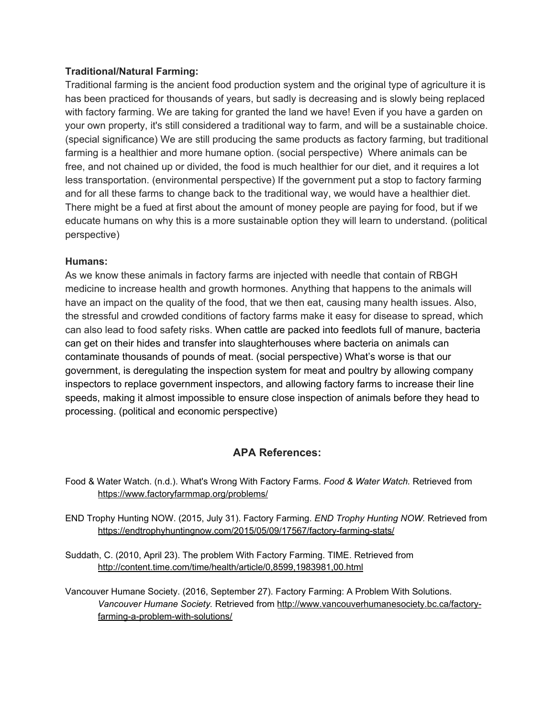#### **Traditional/Natural Farming:**

Traditional farming is the ancient food production system and the original type of agriculture it is has been practiced for thousands of years, but sadly is decreasing and is slowly being replaced with factory farming. We are taking for granted the land we have! Even if you have a garden on your own property, it's still considered a traditional way to farm, and will be a sustainable choice. (special significance) We are still producing the same products as factory farming, but traditional farming is a healthier and more humane option. (social perspective) Where animals can be free, and not chained up or divided, the food is much healthier for our diet, and it requires a lot less transportation. (environmental perspective) If the government put a stop to factory farming and for all these farms to change back to the traditional way, we would have a healthier diet. There might be a fued at first about the amount of money people are paying for food, but if we educate humans on why this is a more sustainable option they will learn to understand. (political perspective)

#### **Humans:**

As we know these animals in factory farms are injected with needle that contain of RBGH medicine to increase health and growth hormones. Anything that happens to the animals will have an impact on the quality of the food, that we then eat, causing many health issues. Also, the stressful and crowded conditions of factory farms make it easy for disease to spread, which can also lead to food safety risks. When cattle are packed into feedlots full of manure, bacteria can get on their hides and transfer into slaughterhouses where bacteria on animals can contaminate thousands of pounds of meat. (social perspective) What's worse is that our government, is deregulating the inspection system for meat and poultry by allowing company inspectors to replace government inspectors, and allowing factory farms to increase their line speeds, making it almost impossible to ensure close inspection of animals before they head to processing. (political and economic perspective)

## **APA References:**

- Food & Water Watch. (n.d.). What's Wrong With Factory Farms. *Food & Water Watch.* Retrieved from <https://www.factoryfarmmap.org/problems/>
- END Trophy Hunting NOW. (2015, July 31). Factory Farming. *END Trophy Hunting NOW.* Retrieved from <https://endtrophyhuntingnow.com/2015/05/09/17567/factory-farming-stats/>
- Suddath, C. (2010, April 23). The problem With Factory Farming. TIME. Retrieved from <http://content.time.com/time/health/article/0,8599,1983981,00.html>
- Vancouver Humane Society. (2016, September 27). Factory Farming: A Problem With Solutions. *Vancouver Humane Society.* Retrieved from [http://www.vancouverhumanesociety.bc.ca/factory](http://www.vancouverhumanesociety.bc.ca/factory-farming-a-problem-with-solutions/)[farming-a-problem-with-solutions/](http://www.vancouverhumanesociety.bc.ca/factory-farming-a-problem-with-solutions/)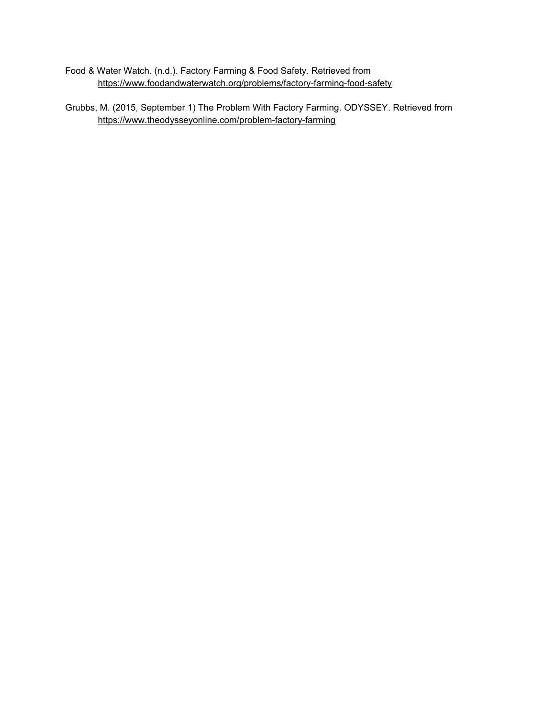- Food & Water Watch. (n.d.). Factory Farming & Food Safety*.* Retrieved from <https://www.foodandwaterwatch.org/problems/factory-farming-food-safety>
- Grubbs, M. (2015, September 1) The Problem With Factory Farming. ODYSSEY. Retrieved from <https://www.theodysseyonline.com/problem-factory-farming>